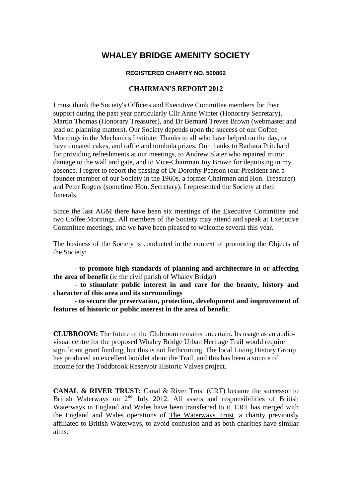# **WHALEY BRIDGE AMENITY SOCIETY**

#### **REGISTERED CHARITY NO. 500862**

## **CHAIRMAN'S REPORT 2012**

I must thank the Society's Officers and Executive Committee members for their support during the past year particularly Cllr Anne Winter (Honorary Secretary), Martin Thomas (Honorary Treasurer), and Dr Bernard Treves Brown (webmaster and lead on planning matters). Our Society depends upon the success of our Coffee Mornings in the Mechanics Institute. Thanks to all who have helped on the day, or have donated cakes, and raffle and tombola prizes. Our thanks to Barbara Pritchard for providing refreshments at our meetings, to Andrew Slater who repaired minor damage to the wall and gate, and to Vice-Chairman Joy Brown for deputising in my absence. I regret to report the passing of Dr Dorothy Pearson (our President and a founder member of our Society in the 1960s, a former Chairman and Hon. Treasurer) and Peter Rogers (sometime Hon. Secretary). I represented the Society at their funerals.

Since the last AGM there have been six meetings of the Executive Committee and two Coffee Mornings. All members of the Society may attend and speak at Executive Committee meetings, and we have been pleased to welcome several this year.

The business of the Society is conducted in the context of promoting the Objects of the Society:

- **to promote high standards of planning and architecture in or affecting the area of benefit** (ie the civil parish of Whaley Bridge)

- **to stimulate public interest in and care for the beauty, history and character of this area and its surroundings**

- **to secure the preservation, protection, development and improvement of features of historic or public interest in the area of benefit**.

**CLUBROOM:** The future of the Clubroom remains uncertain. Its usage as an audiovisual centre for the proposed Whaley Bridge Urban Heritage Trail would require significant grant funding, but this is not forthcoming. The local Living History Group has produced an excellent booklet about the Trail, and this has been a source of income for the Toddbrook Reservoir Historic Valves project.

**CANAL & RIVER TRUST:** Canal & River Trust (CRT) became the successor to British Waterways on  $2<sup>nd</sup>$  July 2012. All assets and responsibilities of British Waterways in England and Wales have been transferred to it. CRT has merged with the England and Wales operations of [The Waterways Trust,](http://en.wikipedia.org/wiki/The_Waterways_Trust) a charity previously affiliated to British Waterways, to avoid confusion and as both charities have similar aims.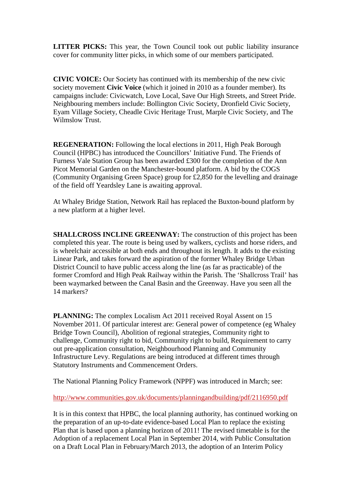**LITTER PICKS:** This year, the Town Council took out public liability insurance cover for community litter picks, in which some of our members participated.

**CIVIC VOICE:** Our Society has continued with its membership of the new civic society movement **Civic Voice** (which it joined in 2010 as a founder member). Its campaigns include: Civicwatch, Love Local, Save Our High Streets, and Street Pride. Neighbouring members include: Bollington Civic Society, Dronfield Civic Society, Eyam Village Society, Cheadle Civic Heritage Trust, Marple Civic Society, and The Wilmslow Trust.

**REGENERATION:** Following the local elections in 2011, High Peak Borough Council (HPBC) has introduced the Councillors' Initiative Fund. The Friends of Furness Vale Station Group has been awarded £300 for the completion of the Ann Picot Memorial Garden on the Manchester-bound platform. A bid by the COGS (Community Organising Green Space) group for £2,850 for the levelling and drainage of the field off Yeardsley Lane is awaiting approval.

At Whaley Bridge Station, Network Rail has replaced the Buxton-bound platform by a new platform at a higher level.

**SHALLCROSS INCLINE GREENWAY:** The construction of this project has been completed this year. The route is being used by walkers, cyclists and horse riders, and is wheelchair accessible at both ends and throughout its length. It adds to the existing Linear Park, and takes forward the aspiration of the former Whaley Bridge Urban District Council to have public access along the line (as far as practicable) of the former Cromford and High Peak Railway within the Parish. The 'Shallcross Trail' has been waymarked between the Canal Basin and the Greenway. Have you seen all the 14 markers?

**PLANNING:** The complex Localism Act 2011 received Royal Assent on 15 November 2011. Of particular interest are: [General power of competence](http://www.legislation.gov.uk/ukpga/2011/20/section/1/enacted) (eg Whaley Bridge Town Council), Abolition of regional strategies, Community right to challenge, Community right to bid, Community right to build, Requirement to carry out pre-application consultation, Neighbourhood Planning and Community Infrastructure Levy. Regulations are being introduced at different times through Statutory Instruments and Commencement Orders.

The National Planning Policy Framework (NPPF) was introduced in March; see:

<http://www.communities.gov.uk/documents/planningandbuilding/pdf/2116950.pdf>

It is in this context that HPBC, the local planning authority, has continued working on the preparation of an up-to-date evidence-based Local Plan to replace the existing Plan that is based upon a planning horizon of 2011! The revised timetable is for the Adoption of a replacement Local Plan in September 2014, with Public Consultation on a Draft Local Plan in February/March 2013, the adoption of an Interim Policy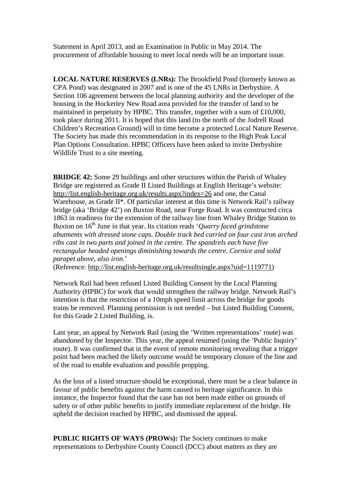Statement in April 2013, and an Examination in Public in May 2014. The procurement of affordable housing to meet local needs will be an important issue.

**LOCAL NATURE RESERVES (LNRs):** The Brookfield Pond (formerly known as CPA Pond) was designated in 2007 and is one of the 45 LNRs in Derbyshire. A Section 106 agreement between the local planning authority and the developer of the housing in the Hockerley New Road area provided for the transfer of land to be maintained in perpetuity by HPBC. This transfer, together with a sum of £10,000, took place during 2011. It is hoped that this land (to the north of the Jodrell Road Children's Recreation Ground) will in time become a protected Local Nature Reserve. The Society has made this recommendation in its response to the High Peak Local Plan Options Consultation. HPBC Officers have been asked to invite Derbyshire Wildlife Trust to a site meeting.

**BRIDGE 42:** Some 29 buildings and other structures within the Parish of Whaley Bridge are registered as Grade II Listed Buildings at English Heritage's website: <http://list.english-heritage.org.uk/results.aspx?index=26> and one, the Canal Warehouse, as Grade II\*. Of particular interest at this time is Network Rail's railway bridge (aka 'Bridge 42') on Buxton Road, near Forge Road. It was constructed circa 1863 in readiness for the extension of the railway line from Whaley Bridge Station to Buxton on 16<sup>th</sup> June in that year. Its citation reads '*Quarry faced grindstone abutments with dressed stone caps. Double track bed carried on four cast iron arched ribs cast in two parts and joined in the centre. The spandrels each have five rectangular headed openings diminishing towards the centre. Cornice and solid parapet above, also iron*.'

(Reference: [http://list.english-heritage.org.uk/resultsingle.aspx?uid=1119771\)](http://list.english-heritage.org.uk/resultsingle.aspx?uid=1119771)

Network Rail had been refused Listed Building Consent by the Local Planning Authority (HPBC) for work that would strengthen the railway bridge. Network Rail's intention is that the restriction of a 10mph speed limit across the bridge for goods trains be removed. Planning permission is not needed – but Listed Building Consent, for this Grade 2 Listed Building, is.

Last year, an appeal by Network Rail (using the 'Written representations' route) was abandoned by the Inspector. This year, the appeal resumed (using the 'Public Inquiry' route). It was confirmed that in the event of remote monitoring revealing that a trigger point had been reached the likely outcome would be temporary closure of the line and of the road to enable evaluation and possible propping.

As the loss of a listed structure should be exceptional, there must be a clear balance in favour of public benefits against the harm caused to heritage significance. In this instance, the Inspector found that the case has not been made either on grounds of safety or of other public benefits to justify immediate replacement of the bridge. He upheld the decision reached by HPBC, and dismissed the appeal.

**PUBLIC RIGHTS OF WAYS (PROWs):** The Society continues to make representations to Derbyshire County Council (DCC) about matters as they are